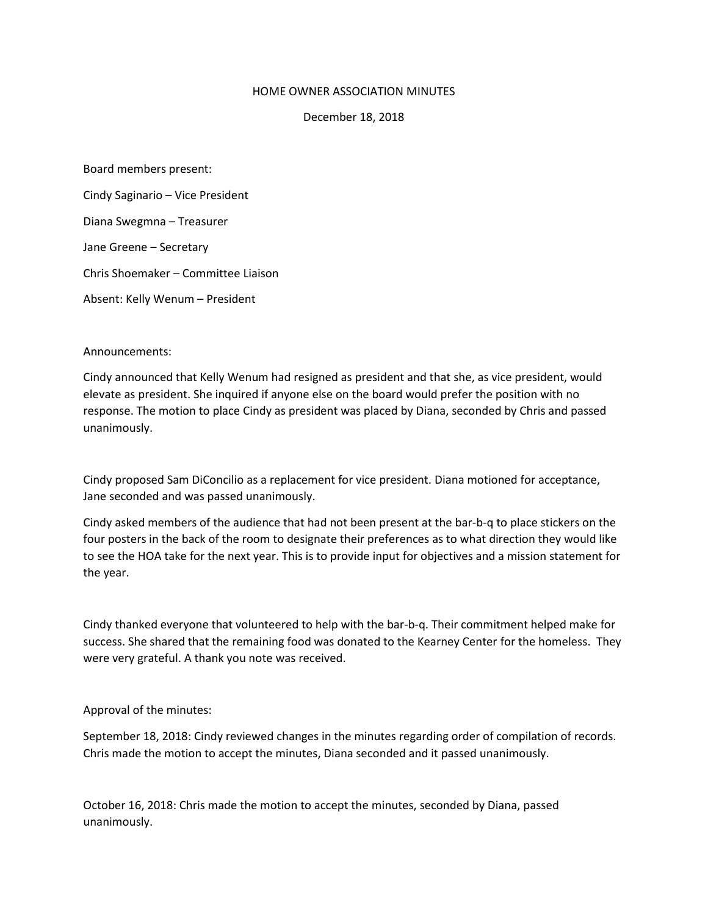## HOME OWNER ASSOCIATION MINUTES

December 18, 2018

Board members present:

Cindy Saginario – Vice President

Diana Swegmna – Treasurer

Jane Greene – Secretary

Chris Shoemaker – Committee Liaison

Absent: Kelly Wenum – President

Announcements:

Cindy announced that Kelly Wenum had resigned as president and that she, as vice president, would elevate as president. She inquired if anyone else on the board would prefer the position with no response. The motion to place Cindy as president was placed by Diana, seconded by Chris and passed unanimously.

Cindy proposed Sam DiConcilio as a replacement for vice president. Diana motioned for acceptance, Jane seconded and was passed unanimously.

Cindy asked members of the audience that had not been present at the bar-b-q to place stickers on the four posters in the back of the room to designate their preferences as to what direction they would like to see the HOA take for the next year. This is to provide input for objectives and a mission statement for the year.

Cindy thanked everyone that volunteered to help with the bar-b-q. Their commitment helped make for success. She shared that the remaining food was donated to the Kearney Center for the homeless. They were very grateful. A thank you note was received.

Approval of the minutes:

September 18, 2018: Cindy reviewed changes in the minutes regarding order of compilation of records. Chris made the motion to accept the minutes, Diana seconded and it passed unanimously.

October 16, 2018: Chris made the motion to accept the minutes, seconded by Diana, passed unanimously.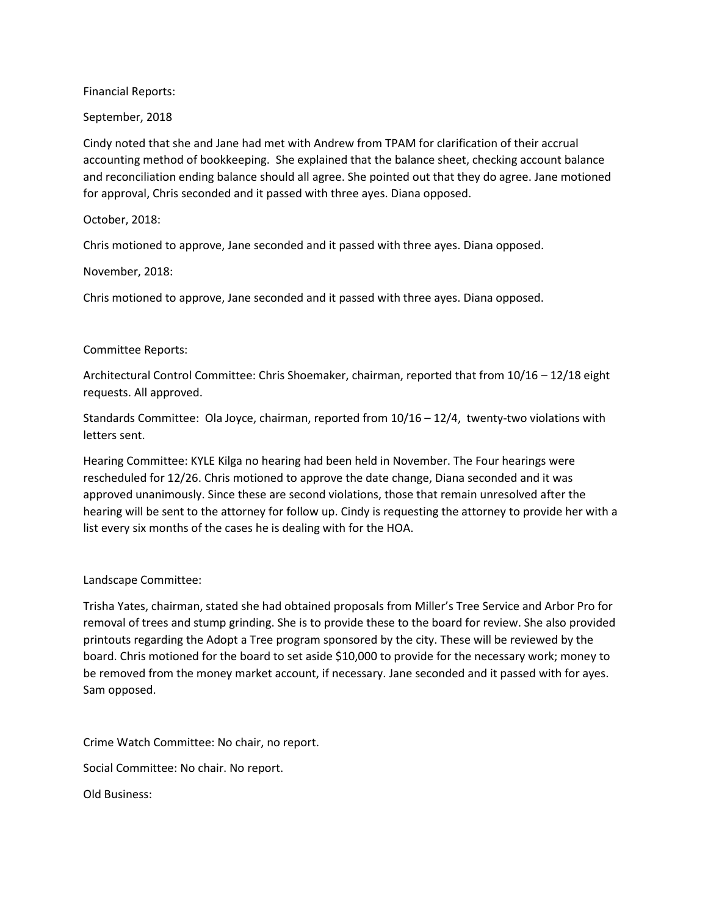Financial Reports:

September, 2018

Cindy noted that she and Jane had met with Andrew from TPAM for clarification of their accrual accounting method of bookkeeping. She explained that the balance sheet, checking account balance and reconciliation ending balance should all agree. She pointed out that they do agree. Jane motioned for approval, Chris seconded and it passed with three ayes. Diana opposed.

October, 2018:

Chris motioned to approve, Jane seconded and it passed with three ayes. Diana opposed.

November, 2018:

Chris motioned to approve, Jane seconded and it passed with three ayes. Diana opposed.

## Committee Reports:

Architectural Control Committee: Chris Shoemaker, chairman, reported that from 10/16 – 12/18 eight requests. All approved.

Standards Committee: Ola Joyce, chairman, reported from 10/16 – 12/4, twenty-two violations with letters sent.

Hearing Committee: KYLE Kilga no hearing had been held in November. The Four hearings were rescheduled for 12/26. Chris motioned to approve the date change, Diana seconded and it was approved unanimously. Since these are second violations, those that remain unresolved after the hearing will be sent to the attorney for follow up. Cindy is requesting the attorney to provide her with a list every six months of the cases he is dealing with for the HOA.

## Landscape Committee:

Trisha Yates, chairman, stated she had obtained proposals from Miller's Tree Service and Arbor Pro for removal of trees and stump grinding. She is to provide these to the board for review. She also provided printouts regarding the Adopt a Tree program sponsored by the city. These will be reviewed by the board. Chris motioned for the board to set aside \$10,000 to provide for the necessary work; money to be removed from the money market account, if necessary. Jane seconded and it passed with for ayes. Sam opposed.

Crime Watch Committee: No chair, no report.

Social Committee: No chair. No report.

Old Business: